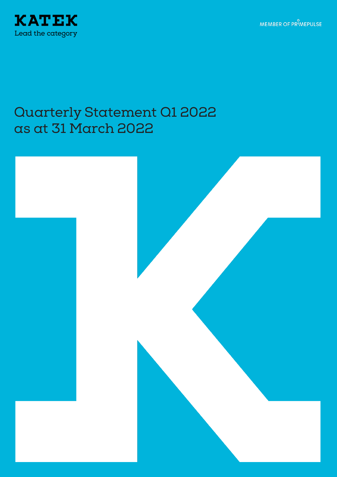MEMBER OF PRIMEPULSE



# Quarterly Statement Q1 2022 as at 31 March 2022

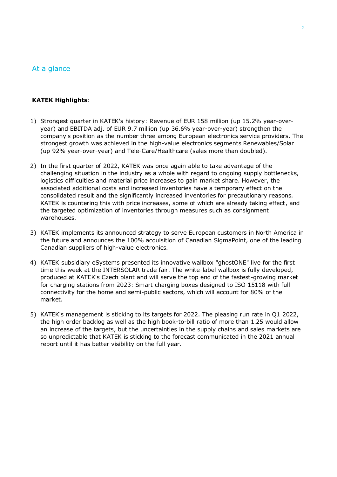### At a glance

#### **KATEK Highlights**:

- 1) Strongest quarter in KATEK's history: Revenue of EUR 158 million (up 15.2% year-overyear) and EBITDA adj. of EUR 9.7 million (up 36.6% year-over-year) strengthen the company's position as the number three among European electronics service providers. The strongest growth was achieved in the high-value electronics segments Renewables/Solar (up 92% year-over-year) and Tele-Care/Healthcare (sales more than doubled).
- 2) In the first quarter of 2022, KATEK was once again able to take advantage of the challenging situation in the industry as a whole with regard to ongoing supply bottlenecks, logistics difficulties and material price increases to gain market share. However, the associated additional costs and increased inventories have a temporary effect on the consolidated result and the significantly increased inventories for precautionary reasons. KATEK is countering this with price increases, some of which are already taking effect, and the targeted optimization of inventories through measures such as consignment warehouses.
- 3) KATEK implements its announced strategy to serve European customers in North America in the future and announces the 100% acquisition of Canadian SigmaPoint, one of the leading Canadian suppliers of high-value electronics.
- 4) KATEK subsidiary eSystems presented its innovative wallbox "ghostONE" live for the first time this week at the INTERSOLAR trade fair. The white-label wallbox is fully developed, produced at KATEK's Czech plant and will serve the top end of the fastest-growing market for charging stations from 2023: Smart charging boxes designed to ISO 15118 with full connectivity for the home and semi-public sectors, which will account for 80% of the market.
- 5) KATEK's management is sticking to its targets for 2022. The pleasing run rate in Q1 2022, the high order backlog as well as the high book-to-bill ratio of more than 1.25 would allow an increase of the targets, but the uncertainties in the supply chains and sales markets are so unpredictable that KATEK is sticking to the forecast communicated in the 2021 annual report until it has better visibility on the full year.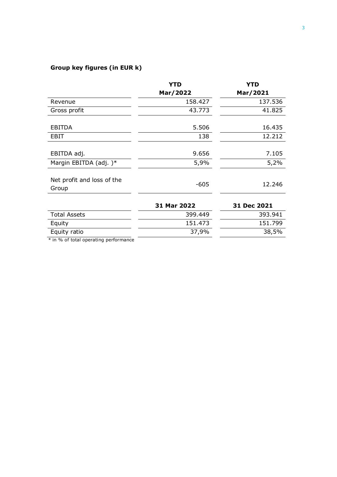# **Group key figures (in EUR k)**

|                                       | <b>YTD</b>  | <b>YTD</b>  |
|---------------------------------------|-------------|-------------|
|                                       | Mar/2022    | Mar/2021    |
| Revenue                               | 158.427     | 137.536     |
| Gross profit                          | 43.773      | 41.825      |
|                                       |             |             |
| <b>EBITDA</b>                         | 5.506       | 16.435      |
| EBIT                                  | 138         | 12.212      |
|                                       |             |             |
| EBITDA adj.                           | 9.656       | 7.105       |
| Margin EBITDA (adj.)*                 | 5,9%        | 5,2%        |
| Net profit and loss of the<br>Group   | $-605$      | 12.246      |
|                                       | 31 Mar 2022 | 31 Dec 2021 |
| <b>Total Assets</b>                   | 399.449     | 393.941     |
| Equity                                | 151.473     | 151.799     |
| Equity ratio                          | 37,9%       | 38,5%       |
| * in % of total operating performance |             |             |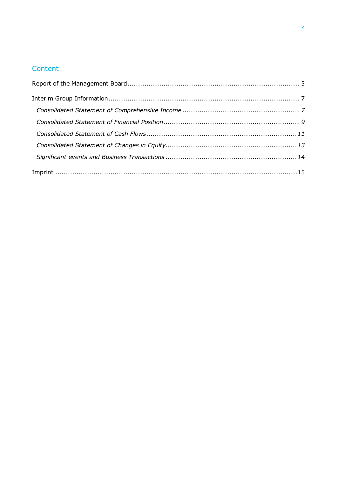# Content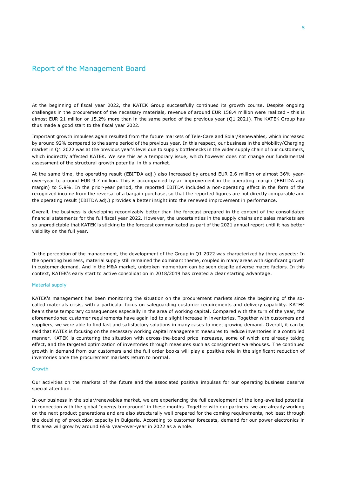#### <span id="page-4-0"></span>Report of the Management Board

At the beginning of fiscal year 2022, the KATEK Group successfully continued its growth course. Despite ongoing challenges in the procurement of the necessary materials, revenue of around EUR 158.4 million were realized - this is almost EUR 21 million or 15.2% more than in the same period of the previous year (Q1 2021). The KATEK Group has thus made a good start to the fiscal year 2022.

Important growth impulses again resulted from the future markets of Tele-Care and Solar/Renewables, which increased by around 92% compared to the same period of the previous year. In this respect, our business in the eMobility/Charging market in Q1 2022 was at the previous year's level due to supply bottlenecks in the wider supply chain of our customers, which indirectly affected KATEK. We see this as a temporary issue, which however does not change our fundamental assessment of the structural growth potential in this market.

At the same time, the operating result (EBITDA adj.) also increased by around EUR 2.6 million or almost 36% yearover-year to around EUR 9.7 million. This is accompanied by an improvement in the operating margin (EBITDA adj. margin) to 5.9%. In the prior-year period, the reported EBITDA included a non-operating effect in the form of the recognized income from the reversal of a bargain purchase, so that the reported figures are not directly comparable and the operating result (EBITDA adj.) provides a better insight into the renewed improvement in performance.

Overall, the business is developing recognizably better than the forecast prepared in the context of the consolidated financial statements for the full fiscal year 2022. However, the uncertainties in the supply chains and sales markets are so unpredictable that KATEK is sticking to the forecast communicated as part of the 2021 annual report until it has better visibility on the full year.

In the perception of the management, the development of the Group in Q1 2022 was characterized by three aspects: In the operating business, material supply still remained the dominant theme, coupled in many areas with significant growth in customer demand. And in the M&A market, unbroken momentum can be seen despite adverse macro factors. In this context, KATEK's early start to active consolidation in 2018/2019 has created a clear starting advantage.

#### Material supply

KATEK's management has been monitoring the situation on the procurement markets since the beginning of the socalled materials crisis, with a particular focus on safeguarding customer requirements and delivery capability. KATEK bears these temporary consequences especially in the area of working capital. Compared with the turn of the year, the aforementioned customer requirements have again led to a slight increase in inventories. Together with customers and suppliers, we were able to find fast and satisfactory solutions in many cases to meet growing demand. Overall, it can be said that KATEK is focusing on the necessary working capital management measures to reduce inventories in a controlled manner. KATEK is countering the situation with across-the-board price increases, some of which are already taking effect, and the targeted optimization of inventories through measures such as consignment warehouses. The continued growth in demand from our customers and the full order books will play a positive role in the significant reduction of inventories once the procurement markets return to normal.

#### Growth

Our activities on the markets of the future and the associated positive impulses for our operating business deserve special attention.

In our business in the solar/renewables market, we are experiencing the full development of the long-awaited potential in connection with the global "energy turnaround" in these months. Together with our partners, we are already working on the next product generations and are also structurally well prepared for the coming requirements, not least through the doubling of production capacity in Bulgaria. According to customer forecasts, demand for our power electronics in this area will grow by around 65% year-over-year in 2022 as a whole.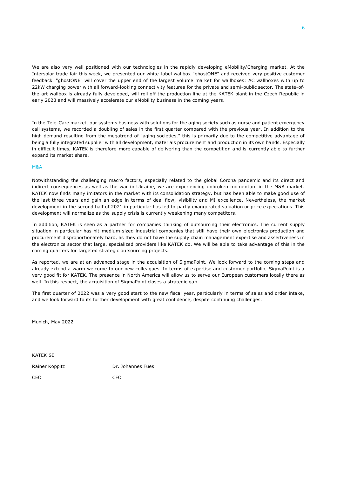We are also very well positioned with our technologies in the rapidly developing eMobility/Charging market. At the Intersolar trade fair this week, we presented our white-label wallbox "ghostONE" and received very positive customer feedback. "ghostONE" will cover the upper end of the largest volume market for wallboxes: AC wallboxes with up to 22kW charging power with all forward-looking connectivity features for the private and semi-public sector. The state-ofthe-art wallbox is already fully developed, will roll off the production line at the KATEK plant in the Czech Republic in early 2023 and will massively accelerate our eMobility business in the coming years.

In the Tele-Care market, our systems business with solutions for the aging society such as nurse and patient emergency call systems, we recorded a doubling of sales in the first quarter compared with the previous year. In addition to the high demand resulting from the megatrend of "aging societies," this is primarily due to the competitive advantage of being a fully integrated supplier with all development, materials procurement and production in its own hands. Especially in difficult times, KATEK is therefore more capable of delivering than the competition and is currently able to further expand its market share.

#### M&A

Notwithstanding the challenging macro factors, especially related to the global Corona pandemic and its direct and indirect consequences as well as the war in Ukraine, we are experiencing unbroken momentum in the M&A market. KATEK now finds many imitators in the market with its consolidation strategy, but has been able to make good use of the last three years and gain an edge in terms of deal flow, visibility and MI excellence. Nevertheless, the market development in the second half of 2021 in particular has led to partly exaggerated valuation or price expectations. This development will normalize as the supply crisis is currently weakening many competitors.

In addition, KATEK is seen as a partner for companies thinking of outsourcing their electronics. The current supply situation in particular has hit medium-sized industrial companies that still have their own electronics production and procurement disproportionately hard, as they do not have the supply chain management expertise and assertiveness in the electronics sector that large, specialized providers like KATEK do. We will be able to take advantage of this in the coming quarters for targeted strategic outsourcing projects.

As reported, we are at an advanced stage in the acquisition of SigmaPoint. We look forward to the coming steps and already extend a warm welcome to our new colleagues. In terms of expertise and customer portfolio, SigmaPoint is a very good fit for KATEK. The presence in North America will allow us to serve our European customers locally there as well. In this respect, the acquisition of SigmaPoint closes a strategic gap.

The first quarter of 2022 was a very good start to the new fiscal year, particularly in terms of sales and order intake, and we look forward to its further development with great confidence, despite continuing challenges.

Munich, May 2022

KATEK SE

Rainer Koppitz **Dr. Johannes Fues** 

CEO CFO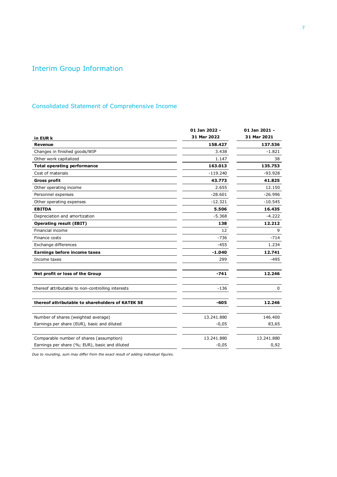# <span id="page-6-0"></span>Interim Group Information

### <span id="page-6-1"></span>Consolidated Statement of Comprehensive Income

|                                                   | 01 Jan 2022 - | 01 Jan 2021 - |
|---------------------------------------------------|---------------|---------------|
| in EUR k                                          | 31 Mar 2022   | 31 Mar 2021   |
| Revenue                                           | 158.427       | 137.536       |
| Changes in finished goods/WIP                     | 3.438         | $-1.821$      |
| Other work capitalized                            | 1.147         | 38            |
| <b>Total operating performance</b>                | 163.013       | 135.753       |
| Cost of materials                                 | $-119.240$    | $-93.928$     |
| <b>Gross profit</b>                               | 43.773        | 41.825        |
| Other operating income                            | 2.655         | 12.150        |
| Personnel expenses                                | $-28.601$     | $-26.996$     |
| Other operating expenses                          | $-12.321$     | $-10.545$     |
| <b>EBITDA</b>                                     | 5.506         | 16.435        |
| Depreciation and amortization                     | $-5.368$      | $-4.222$      |
| <b>Operating result (EBIT)</b>                    | 138           | 12.212        |
| Financial income                                  | 12            | 9             |
| Finance costs                                     | -736          | $-714$        |
| Exchange differences                              | $-455$        | 1.234         |
| <b>Earnings before income taxes</b>               | $-1.040$      | 12.741        |
| Income taxes                                      | 299           | $-495$        |
| Net profit or loss of the Group                   | -741          | 12.246        |
| thereof attributable to non-controlling interests | $-136$        | $\Omega$      |
| thereof attributable to shareholders of KATEK SE  | -605          | 12.246        |
| Number of shares (weighted average)               | 13.241.880    | 146,400       |
| Earnings per share (EUR), basic and diluted       | $-0,05$       | 83,65         |
| Comparable number of shares (assumption)          | 13.241.880    | 13.241.880    |
| Earnings per share (%; EUR), basic and diluted    | $-0,05$       | 0,92          |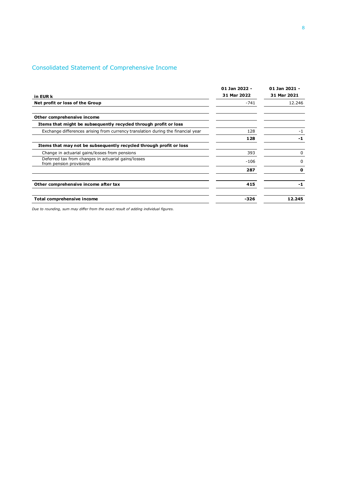### Consolidated Statement of Comprehensive Income

|                                                                                  | 01 Jan 2022 - | 01 Jan 2021 - |  |
|----------------------------------------------------------------------------------|---------------|---------------|--|
| in EUR k                                                                         | 31 Mar 2022   | 31 Mar 2021   |  |
| Net profit or loss of the Group                                                  | $-741$        | 12.246        |  |
| Other comprehensive income                                                       |               |               |  |
| Items that might be subsequently recycled through profit or loss                 |               |               |  |
| Exchange differences arising from currency translation during the financial year | 128           | $-1$          |  |
|                                                                                  | 128           | -1            |  |
| Items that may not be subsequently recycled through profit or loss               |               |               |  |
| Change in actuarial gains/losses from pensions                                   | 393           | 0             |  |
| Deferred tax from changes in actuarial gains/losses<br>from pension provisions   | $-106$        | 0             |  |
|                                                                                  | 287           | 0             |  |
| Other comprehensive income after tax                                             | 415           | -1            |  |
| Total comprehensive income                                                       | $-326$        | 12.245        |  |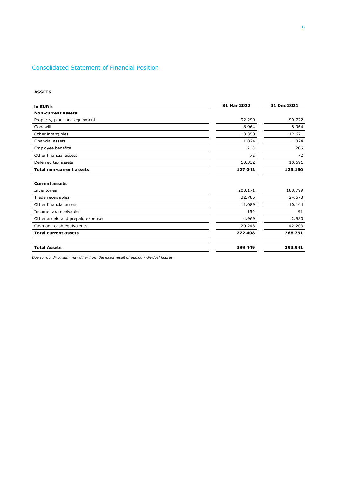### <span id="page-8-0"></span>Consolidated Statement of Financial Position

#### **ASSETS**

| in EUR k                          | 31 Mar 2022 | 31 Dec 2021 |  |
|-----------------------------------|-------------|-------------|--|
| <b>Non-current assets</b>         |             |             |  |
| Property, plant and equipment     | 92.290      | 90.722      |  |
| Goodwill                          | 8.964       | 8.964       |  |
| Other intangibles                 | 13.350      | 12.671      |  |
| <b>Financial assets</b>           | 1.824       | 1.824       |  |
| Employee benefits                 | 210         | 206         |  |
| Other financial assets            | 72          | 72          |  |
| Deferred tax assets               | 10.332      | 10.691      |  |
| <b>Total non-current assets</b>   | 127.042     | 125.150     |  |
|                                   |             |             |  |
| <b>Current assets</b>             |             |             |  |
| Inventories                       | 203.171     | 188.799     |  |
| Trade receivables                 | 32.785      | 24.573      |  |
| Other financial assets            | 11.089      | 10.144      |  |
| Income tax receivables            | 150         | 91          |  |
| Other assets and prepaid expenses | 4.969       | 2.980       |  |
| Cash and cash equivalents         | 20.243      | 42.203      |  |
| <b>Total current assets</b>       | 272.408     | 268.791     |  |
| <b>Total Assets</b>               | 399.449     | 393.941     |  |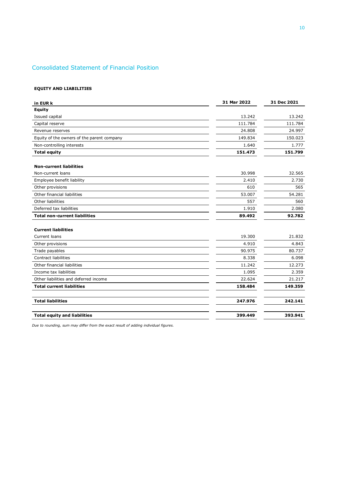### Consolidated Statement of Financial Position

#### **EQUITY AND LIABILITIES**

| in EUR k                                   | 31 Mar 2022 | 31 Dec 2021 |
|--------------------------------------------|-------------|-------------|
| <b>Equity</b>                              |             |             |
| Issued capital                             | 13.242      | 13.242      |
| Capital reserve                            | 111.784     | 111.784     |
| Revenue reserves                           | 24.808      | 24.997      |
| Equity of the owners of the parent company | 149.834     | 150.023     |
| Non-controlling interests                  | 1.640       | 1.777       |
| <b>Total equity</b>                        | 151.473     | 151.799     |
| <b>Non-current liabilities</b>             |             |             |
| Non-current loans                          | 30.998      | 32.565      |
| Employee benefit liability                 | 2.410       | 2.730       |
| Other provisions                           | 610         | 565         |
| Other financial liabilities                | 53.007      | 54.281      |
| Other liabilities                          | 557         | 560         |
| Deferred tax liabilities                   | 1.910       | 2.080       |
| <b>Total non-current liabilities</b>       | 89.492      | 92.782      |
| <b>Current liabilities</b>                 |             |             |
| Current loans                              | 19.300      | 21.832      |
| Other provisions                           | 4.910       | 4.843       |
| Trade payables                             | 90.975      | 80.737      |
| Contract liabilities                       | 8.338       | 6.098       |
| Other financial liabilities                | 11.242      | 12.273      |
| Income tax liabilities                     | 1.095       | 2.359       |
| Other liabilities and deferred income      | 22.624      | 21.217      |
| <b>Total current liabilities</b>           | 158.484     | 149.359     |
| <b>Total liabilities</b>                   | 247.976     | 242.141     |
| <b>Total equity and liabilities</b>        | 399.449     | 393.941     |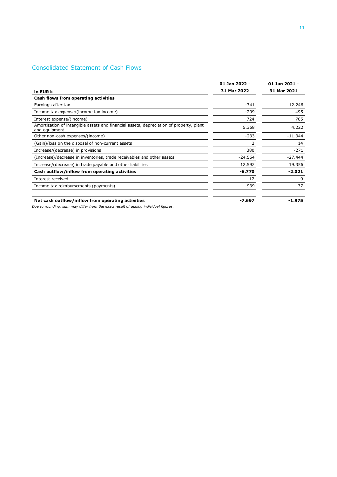### <span id="page-10-0"></span>Consolidated Statement of Cash Flows

|                                                                                                          | 01 Jan 2022 - | 01 Jan 2021 -<br>31 Mar 2021 |  |
|----------------------------------------------------------------------------------------------------------|---------------|------------------------------|--|
| in EUR k                                                                                                 | 31 Mar 2022   |                              |  |
| Cash flows from operating activities                                                                     |               |                              |  |
| Earnings after tax                                                                                       | $-741$        | 12.246                       |  |
| Income tax expense/(income tax income)                                                                   | $-299$        | 495                          |  |
| Interest expense/(income)                                                                                | 724           | 705                          |  |
| Amortization of intangible assets and financial assets, depreciation of property, plant<br>and equipment | 5.368         | 4.222                        |  |
| Other non-cash expenses/(income)                                                                         | $-233$        | $-11.344$                    |  |
| (Gain)/loss on the disposal of non-current assets                                                        | 2             | 14                           |  |
| Increase/(decrease) in provisions                                                                        | 380           | $-271$                       |  |
| (Increase)/decrease in inventories, trade receivables and other assets                                   | $-24.564$     | $-27.444$                    |  |
| Increase/(decrease) in trade payable and other liabilities                                               | 12.592        | 19.356                       |  |
| Cash outflow/inflow from operating activities                                                            | $-6.770$      | $-2.021$                     |  |
| Interest received                                                                                        | 12            | 9                            |  |
| Income tax reimbursements (payments)                                                                     | $-939$        | 37                           |  |
| Net cash outflow/inflow from operating activities                                                        | $-7.697$      | $-1.975$                     |  |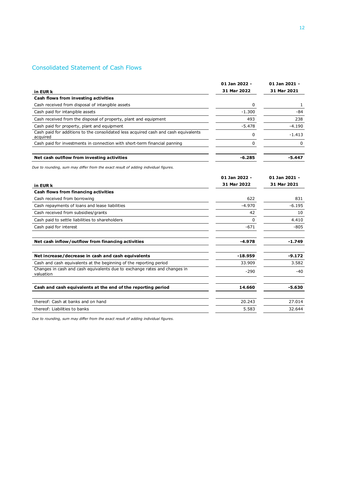### Consolidated Statement of Cash Flows

|                                                                                                 | 01 Jan 2022 - | 01 Jan 2021 - |
|-------------------------------------------------------------------------------------------------|---------------|---------------|
| in EUR k                                                                                        | 31 Mar 2022   | 31 Mar 2021   |
| Cash flows from investing activities                                                            |               |               |
| Cash received from disposal of intangible assets                                                | 0             | 1             |
| Cash paid for intangible assets                                                                 | $-1.300$      | $-84$         |
| Cash received from the disposal of property, plant and equipment                                | 493           | 238           |
| Cash paid for property, plant and equipment                                                     | $-5.478$      | $-4.190$      |
| Cash paid for additions to the consolidated less acquired cash and cash equivalents<br>acquired | 0             | $-1.413$      |
| Cash paid for investments in connection with short-term financial panning                       | 0             | 0             |
| Net cash outflow from investing activities                                                      | $-6.285$      | -5.447        |
| Due to rounding, sum may differ from the exact result of adding individual figures.             |               |               |
|                                                                                                 | 01 Jan 2022 - | 01 Jan 2021 - |
| in EUR k                                                                                        | 31 Mar 2022   | 31 Mar 2021   |
| Cash flows from financing activities                                                            |               |               |
| Cash received from borrowing                                                                    | 622           | 831           |
| Cash repayments of loans and lease liabilities                                                  | $-4.970$      | $-6.195$      |
| Cash received from subsidies/grants                                                             | 42            | 10            |
| Cash paid to settle liabilities to shareholders                                                 | 0             | 4.410         |
| Cash paid for interest                                                                          | $-671$        | $-805$        |
| Net cash inflow/outflow from financing activities                                               | $-4.978$      | $-1.749$      |
| Net increase/decrease in cash and cash equivalents                                              | $-18.959$     | $-9.172$      |
| Cash and cash equivalents at the beginning of the reporting period                              | 33.909        | 3.582         |
| Changes in cash and cash equivalents due to exchange rates and changes in<br>valuation          | $-290$        | $-40$         |
| Cash and cash equivalents at the end of the reporting period                                    | 14.660        | $-5.630$      |
| thereof: Cash at banks and on hand                                                              | 20.243        | 27.014        |
| thereof: Liabilities to banks                                                                   | 5.583         | 32.644        |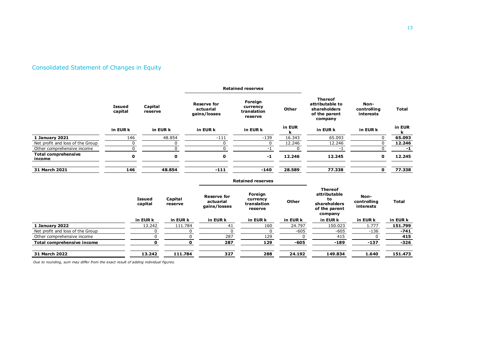# Consolidated Statement of Changes in Equity

<span id="page-12-0"></span>

|                                      | <b>Issued</b><br>capital<br>in EUR k |                          |                    |                                                 | <b>Retained reserves</b>                      |              |                                                                                  |                                  |              |
|--------------------------------------|--------------------------------------|--------------------------|--------------------|-------------------------------------------------|-----------------------------------------------|--------------|----------------------------------------------------------------------------------|----------------------------------|--------------|
|                                      |                                      | Capital<br>reserve       |                    | <b>Reserve for</b><br>actuarial<br>gains/losses | Foreign<br>currency<br>translation<br>reserve | Other        | <b>Thereof</b><br>attributable to<br>shareholders<br>of the parent<br>company    | Non-<br>controlling<br>interests | <b>Total</b> |
|                                      |                                      |                          | in EUR k           | in EUR k                                        | in EUR k                                      | in EUR<br>k  | in EUR k                                                                         | in EUR k                         | in EUR<br>k  |
| 1 January 2021                       | 146                                  |                          | 48.854             | $-111$                                          | $-139$                                        | 16.343       | 65.093                                                                           | 0                                | 65.093       |
| Net profit and loss of the Group     | 0                                    |                          | 0                  | $\mathbf 0$                                     | $\mathbf 0$                                   | 12.246       | 12.246                                                                           | $\mathbf 0$                      | 12.246       |
| Other comprehensive income           | $\Omega$                             |                          | 0                  | $\mathbf 0$                                     | $-1$                                          | 0            | $-1$                                                                             | 0                                | $-1$         |
| <b>Total comprehensive</b><br>income | 0                                    |                          | $\mathbf 0$        | 0                                               | $-1$                                          | 12.246       | 12.245                                                                           | $\mathbf 0$                      | 12.245       |
| 31 March 2021                        | 146                                  |                          | 48.854             | $-111$                                          | $-140$                                        | 28.589       | 77.338                                                                           | $\mathbf 0$                      | 77.338       |
|                                      |                                      |                          |                    |                                                 | <b>Retained reserves</b>                      |              |                                                                                  |                                  |              |
|                                      |                                      | <b>Issued</b><br>capital | Capital<br>reserve | <b>Reserve for</b><br>actuarial<br>gains/losses | Foreign<br>currency<br>translation<br>reserve | <b>Other</b> | <b>Thereof</b><br>attributable<br>to<br>shareholders<br>of the parent<br>company | Non-<br>controlling<br>interests | <b>Total</b> |
|                                      |                                      | in EUR k                 | in EUR k           | in EUR k                                        | in EUR k                                      | in EUR k     | in EUR k                                                                         | in EUR k                         | in EUR k     |
| 1 January 2022                       |                                      | 13.242                   | 111.784            | 41                                              | 160                                           | 24.797       | 150.023                                                                          | 1.777                            | 151.799      |
| Net profit and loss of the Group     |                                      | 0                        |                    | $\Omega$<br>$\Omega$                            | $\Omega$                                      | $-605$       | $-605$                                                                           | $-136$                           | $-741$       |
| Other comprehensive income           |                                      | 0                        |                    | 287<br>0                                        | 129                                           | $\Omega$     | 415                                                                              | 0                                | 415          |
| Total comprehensive income           |                                      | $\mathbf 0$              |                    | 287<br>$\Omega$                                 | 129                                           | $-605$       | $-189$                                                                           | $-137$                           | $-326$       |
| 31 March 2022                        |                                      | 13.242                   | 111.784            | 327                                             | 288                                           | 24.192       | 149.834                                                                          | 1.640                            | 151.473      |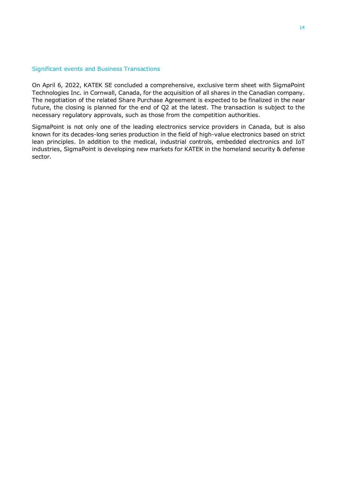#### <span id="page-13-0"></span>Significant events and Business Transactions

On April 6, 2022, KATEK SE concluded a comprehensive, exclusive term sheet with SigmaPoint Technologies Inc. in Cornwall, Canada, for the acquisition of all shares in the Canadian company. The negotiation of the related Share Purchase Agreement is expected to be finalized in the near future, the closing is planned for the end of Q2 at the latest. The transaction is subject to the necessary regulatory approvals, such as those from the competition authorities.

SigmaPoint is not only one of the leading electronics service providers in Canada, but is also known for its decades-long series production in the field of high-value electronics based on strict lean principles. In addition to the medical, industrial controls, embedded electronics and IoT industries, SigmaPoint is developing new markets for KATEK in the homeland security & defense sector.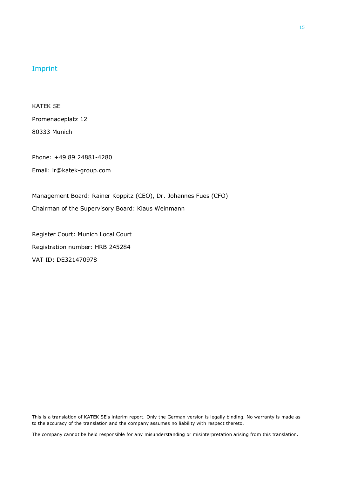### <span id="page-14-0"></span>Imprint

KATEK SE Promenadeplatz 12 80333 Munich

Phone: +49 89 24881-4280

Email: ir@katek-group.com

Management Board: Rainer Koppitz (CEO), Dr. Johannes Fues (CFO) Chairman of the Supervisory Board: Klaus Weinmann

Register Court: Munich Local Court Registration number: HRB 245284 VAT ID: DE321470978

This is a translation of KATEK SE's interim report. Only the German version is legally binding. No warranty is made as to the accuracy of the translation and the company assumes no liability with respect thereto.

The company cannot be held responsible for any misunderstanding or misinterpretation arising from this translation.